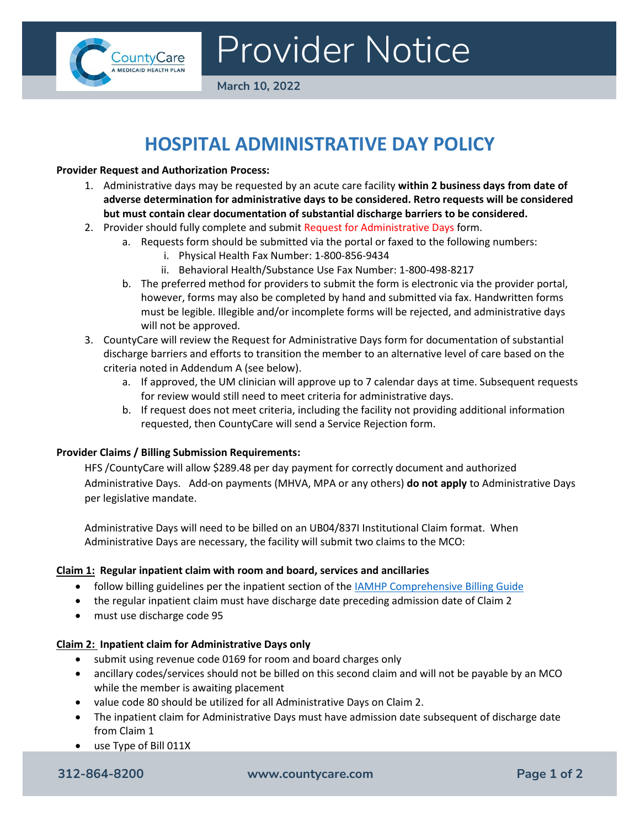

# Provider Notice

**March 10, 2022**

## **HOSPITAL ADMINISTRATIVE DAY POLICY**

#### **Provider Request and Authorization Process:**

- 1. Administrative days may be requested by an acute care facility **within 2 business days from date of adverse determination for administrative days to be considered. Retro requests will be considered but must contain clear documentation of substantial discharge barriers to be considered.**
- 2. Provider should fully complete and submit Request for Administrative Days form.
	- a. Requests form should be submitted via the portal or faxed to the following numbers:
		- i. Physical Health Fax Number: 1-800-856-9434
		- ii. Behavioral Health/Substance Use Fax Number: 1-800-498-8217
	- b. The preferred method for providers to submit the form is electronic via the provider portal, however, forms may also be completed by hand and submitted via fax. Handwritten forms must be legible. Illegible and/or incomplete forms will be rejected, and administrative days will not be approved.
- 3. CountyCare will review the Request for Administrative Days form for documentation of substantial discharge barriers and efforts to transition the member to an alternative level of care based on the criteria noted in Addendum A (see below).
	- a. If approved, the UM clinician will approve up to 7 calendar days at time. Subsequent requests for review would still need to meet criteria for administrative days.
	- b. If request does not meet criteria, including the facility not providing additional information requested, then CountyCare will send a Service Rejection form.

#### **Provider Claims / Billing Submission Requirements:**

HFS /CountyCare will allow \$289.48 per day payment for correctly document and authorized Administrative Days. Add-on payments (MHVA, MPA or any others) **do not apply** to Administrative Days per legislative mandate.

Administrative Days will need to be billed on an UB04/837I Institutional Claim format. When Administrative Days are necessary, the facility will submit two claims to the MCO:

#### **Claim 1: Regular inpatient claim with room and board, services and ancillaries**

- follow billing guidelines per the inpatient section of the IAMHP Comprehensive Billing Guide
- the regular inpatient claim must have discharge date preceding admission date of Claim 2
- must use discharge code 95

### **Claim 2: Inpatient claim for Administrative Days only**

- submit using revenue code 0169 for room and board charges only
- ancillary codes/services should not be billed on this second claim and will not be payable by an MCO while the member is awaiting placement
- value code 80 should be utilized for all Administrative Days on Claim 2.
- The inpatient claim for Administrative Days must have admission date subsequent of discharge date from Claim 1
- use Type of Bill 011X